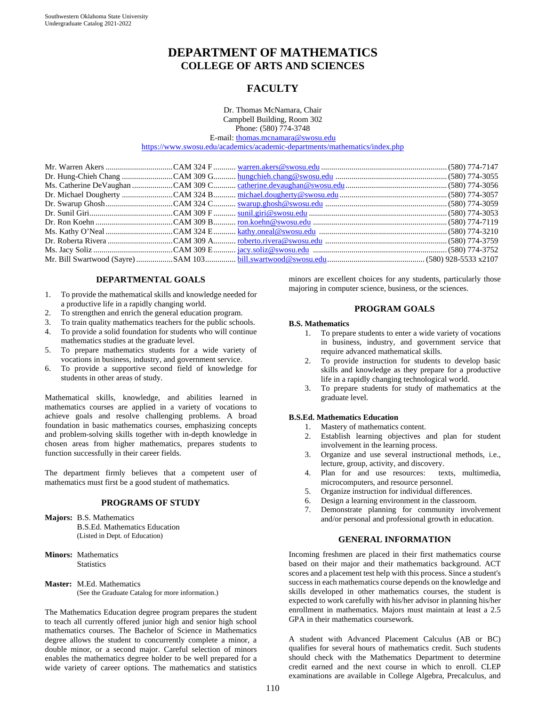# **DEPARTMENT OF MATHEMATICS COLLEGE OF ARTS AND SCIENCES**

## **FACULTY**

Dr. Thomas McNamara, Chair Campbell Building, Room 302 Phone: (580) 774-3748

E-mail[: thomas.mcnamara@swosu.edu](mailto:thomas.mcnamara@swosu.edu)

<https://www.swosu.edu/academics/academic-departments/mathematics/index.php>

### **DEPARTMENTAL GOALS**

- 1. To provide the mathematical skills and knowledge needed for a productive life in a rapidly changing world.
- 2. To strengthen and enrich the general education program.
- 3. To train quality mathematics teachers for the public schools.
- 4. To provide a solid foundation for students who will continue mathematics studies at the graduate level.
- 5. To prepare mathematics students for a wide variety of vocations in business, industry, and government service.
- 6. To provide a supportive second field of knowledge for students in other areas of study.

Mathematical skills, knowledge, and abilities learned in mathematics courses are applied in a variety of vocations to achieve goals and resolve challenging problems. A broad foundation in basic mathematics courses, emphasizing concepts and problem-solving skills together with in-depth knowledge in chosen areas from higher mathematics, prepares students to function successfully in their career fields.

The department firmly believes that a competent user of mathematics must first be a good student of mathematics.

#### **PROGRAMS OF STUDY**

- **Majors:** B.S. Mathematics B.S.Ed. Mathematics Education (Listed in Dept. of Education)
- **Minors:** Mathematics **Statistics**
- **Master:** M.Ed. Mathematics (See the Graduate Catalog for more information.)

The Mathematics Education degree program prepares the student to teach all currently offered junior high and senior high school mathematics courses. The Bachelor of Science in Mathematics degree allows the student to concurrently complete a minor, a double minor, or a second major. Careful selection of minors enables the mathematics degree holder to be well prepared for a wide variety of career options. The mathematics and statistics minors are excellent choices for any students, particularly those majoring in computer science, business, or the sciences.

### **PROGRAM GOALS**

#### **B.S. Mathematics**

- 1. To prepare students to enter a wide variety of vocations in business, industry, and government service that require advanced mathematical skills.
- 2. To provide instruction for students to develop basic skills and knowledge as they prepare for a productive life in a rapidly changing technological world.
- 3. To prepare students for study of mathematics at the graduate level.

#### **B.S.Ed. Mathematics Education**

- 1. Mastery of mathematics content.
- 2. Establish learning objectives and plan for student involvement in the learning process.
- 3. Organize and use several instructional methods, i.e., lecture, group, activity, and discovery.
- 4. Plan for and use resources: texts, multimedia, microcomputers, and resource personnel.
- 5. Organize instruction for individual differences.
- 6. Design a learning environment in the classroom.
- 7. Demonstrate planning for community involvement and/or personal and professional growth in education.

### **GENERAL INFORMATION**

Incoming freshmen are placed in their first mathematics course based on their major and their mathematics background. ACT scores and a placement test help with this process. Since a student's success in each mathematics course depends on the knowledge and skills developed in other mathematics courses, the student is expected to work carefully with his/her advisor in planning his/her enrollment in mathematics. Majors must maintain at least a 2.5 GPA in their mathematics coursework.

A student with Advanced Placement Calculus (AB or BC) qualifies for several hours of mathematics credit. Such students should check with the Mathematics Department to determine credit earned and the next course in which to enroll. CLEP examinations are available in College Algebra, Precalculus, and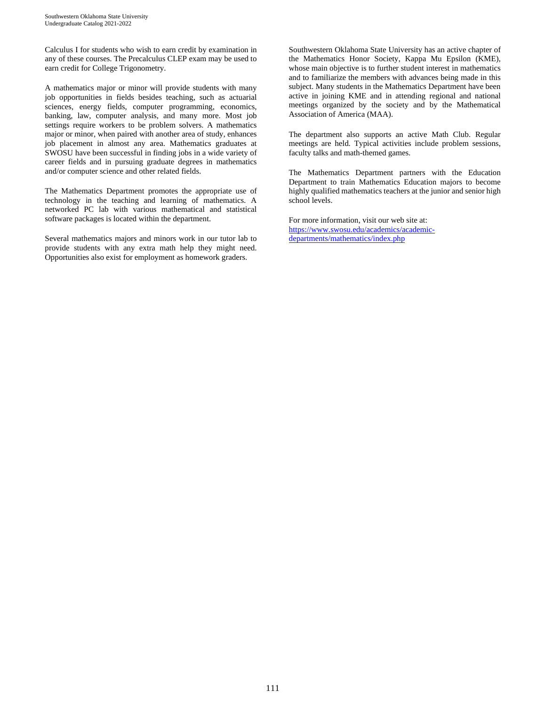Calculus I for students who wish to earn credit by examination in any of these courses. The Precalculus CLEP exam may be used to earn credit for College Trigonometry.

A mathematics major or minor will provide students with many job opportunities in fields besides teaching, such as actuarial sciences, energy fields, computer programming, economics, banking, law, computer analysis, and many more. Most job settings require workers to be problem solvers. A mathematics major or minor, when paired with another area of study, enhances job placement in almost any area. Mathematics graduates at SWOSU have been successful in finding jobs in a wide variety of career fields and in pursuing graduate degrees in mathematics and/or computer science and other related fields.

The Mathematics Department promotes the appropriate use of technology in the teaching and learning of mathematics. A networked PC lab with various mathematical and statistical software packages is located within the department.

Several mathematics majors and minors work in our tutor lab to provide students with any extra math help they might need. Opportunities also exist for employment as homework graders.

Southwestern Oklahoma State University has an active chapter of the Mathematics Honor Society, Kappa Mu Epsilon (KME), whose main objective is to further student interest in mathematics and to familiarize the members with advances being made in this subject. Many students in the Mathematics Department have been active in joining KME and in attending regional and national meetings organized by the society and by the Mathematical Association of America (MAA).

The department also supports an active Math Club. Regular meetings are held. Typical activities include problem sessions, faculty talks and math-themed games.

The Mathematics Department partners with the Education Department to train Mathematics Education majors to become highly qualified mathematics teachers at the junior and senior high school levels.

For more information, visit our web site at: [https://www.swosu.edu/academics/academic](https://www.swosu.edu/academics/academic-departments/mathematics/index.php)[departments/mathematics/index.php](https://www.swosu.edu/academics/academic-departments/mathematics/index.php)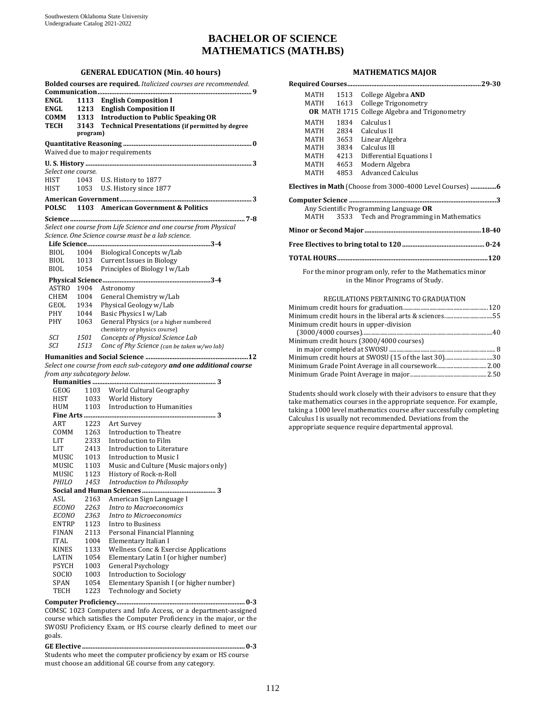## **BACHELOR OF SCIENCE MATHEMATICS (MATH.BS)**

### **GENERAL EDUCATION (Min. 40 hours)**

|                    |            | Bolded courses are required. Italicized courses are recommended.   |
|--------------------|------------|--------------------------------------------------------------------|
|                    |            |                                                                    |
| ENGL               |            | 1113 English Composition I                                         |
| ENGL               | 1213       | <b>English Composition II</b>                                      |
| COMM               |            | 1313 Introduction to Public Speaking OR                            |
| <b>TECH</b>        |            | 3143 Technical Presentations (if permitted by degree               |
|                    | program)   |                                                                    |
|                    |            |                                                                    |
|                    |            | Waived due to major requirements                                   |
|                    |            |                                                                    |
| Select one course. |            |                                                                    |
| HIST               |            | 1043 U.S. History to 1877                                          |
| HIST               |            | 1053 U.S. History since 1877                                       |
|                    |            |                                                                    |
| <b>POLSC</b>       |            | 1103 American Government & Politics                                |
|                    |            |                                                                    |
|                    |            |                                                                    |
|                    |            | Select one course from Life Science and one course from Physical   |
|                    |            | Science. One Science course must be a lab science.                 |
|                    |            |                                                                    |
| BIOL               |            | 1004 Biological Concepts w/Lab                                     |
| BIOL               |            | 1013 Current Issues in Biology                                     |
| BIOL               | 1054       | Principles of Biology I w/Lab                                      |
|                    |            |                                                                    |
| ASTRO              | 1904       | Astronomy                                                          |
| CHEM 1004          |            | General Chemistry w/Lab                                            |
| GEOL               | 1934       | Physical Geology w/Lab                                             |
| PHY                | 1044       | Basic Physics I w/Lab                                              |
| PHY                | 1063       | General Physics (or a higher numbered                              |
|                    |            | chemistry or physics course)                                       |
| SCI                | 1501       | Concepts of Physical Science Lab                                   |
| SCI                | 1513       | Conc of Phy Science (can be taken w/wo lab)                        |
|                    |            |                                                                    |
|                    |            | Select one course from each sub-category and one additional course |
|                    |            | from any subcategory below.                                        |
|                    |            |                                                                    |
| GEOG               |            | 1103 World Cultural Geography                                      |
| HIST               |            | 1033 World History                                                 |
| HUM                |            | 1103 Introduction to Humanities                                    |
|                    |            |                                                                    |
| ART                |            | 1223 Art Survey                                                    |
| COMM               |            | 1263 Introduction to Theatre                                       |
| LIT                |            | 2333 Introduction to Film                                          |
| LIT                |            | 2413 Introduction to Literature                                    |
|                    | MUSIC 1013 | Introduction to Music I                                            |
| MUSIC              | 1103       | Music and Culture (Music majors only)                              |
| MUSIC              | 1123       | History of Rock-n-Roll                                             |
| <i>PHILO</i>       | 1453       | Introduction to Philosophy                                         |
|                    |            |                                                                    |
| ASL                | 2163       | American Sign Language I                                           |
| <b>ECONO</b>       | 2263       | <b>Intro to Macroeconomics</b>                                     |
| <b>ECONO</b>       | 2363       | Intro to Microeconomics                                            |
| <b>ENTRP</b>       | 1123       | Intro to Business                                                  |
| FINAN              | 2113       | Personal Financial Planning                                        |
| <b>ITAL</b>        | 1004       | Elementary Italian I                                               |
| <b>KINES</b>       | 1133       | <b>Wellness Conc &amp; Exercise Applications</b>                   |
| LATIN              | 1054       | Elementary Latin I (or higher number)                              |
| PSYCH              | 1003       | <b>General Psychology</b>                                          |
| SOCIO              | 1003       | <b>Introduction to Sociology</b>                                   |
| SPAN               | 1054       | Elementary Spanish I (or higher number)                            |
| TECH               | 1223       | <b>Technology and Society</b>                                      |

**Computer Proficiency........................................................................... 0-3**  COMSC 1023 Computers and Info Access, or a department-assigned course which satisfies the Computer Proficiency in the major, or the SWOSU Proficiency Exam, or HS course clearly defined to meet our goals.

**GE Elective ............................................................................................... 0-3**  Students who meet the computer proficiency by exam or HS course must choose an additional GE course from any category.

#### **MATHEMATICS MAJOR**

|                                                                                               | MATH<br>MATH | 1513<br>1613 | College Algebra AND<br><b>College Trigonometry</b><br><b>OR</b> MATH 1715 College Algebra and Trigonometry |
|-----------------------------------------------------------------------------------------------|--------------|--------------|------------------------------------------------------------------------------------------------------------|
|                                                                                               |              |              |                                                                                                            |
|                                                                                               | MATH         | 1834         | Calculus I                                                                                                 |
|                                                                                               | MATH 2834    |              | Calculus II                                                                                                |
|                                                                                               | MATH 3653    |              | Linear Algebra                                                                                             |
|                                                                                               |              |              | MATH 3834 Calculus III                                                                                     |
|                                                                                               |              |              | MATH 4213 Differential Equations I                                                                         |
|                                                                                               | MATH 4653    |              | Modern Algebra                                                                                             |
|                                                                                               | MATH         | 4853         | <b>Advanced Calculus</b>                                                                                   |
|                                                                                               |              |              | <b>Electives in Math</b> (Choose from 3000-4000 Level Courses) 6                                           |
|                                                                                               |              |              | Any Scientific Programming Language OR                                                                     |
|                                                                                               | MATH         |              | 3533 Tech and Programming in Mathematics                                                                   |
|                                                                                               |              |              |                                                                                                            |
|                                                                                               |              |              |                                                                                                            |
|                                                                                               |              |              |                                                                                                            |
| For the minor program only, refer to the Mathematics minor<br>in the Minor Programs of Study. |              |              |                                                                                                            |
| REGULATIONS PERTAINING TO GRADUATION                                                          |              |              |                                                                                                            |

| Minimum credit hours in the liberal arts & sciences55 |  |
|-------------------------------------------------------|--|
| Minimum credit hours in upper-division                |  |
|                                                       |  |
| Minimum credit hours (3000/4000 courses)              |  |
|                                                       |  |
| Minimum credit hours at SWOSU (15 of the last 30)30   |  |
|                                                       |  |
|                                                       |  |
|                                                       |  |

Students should work closely with their advisors to ensure that they take mathematics courses in the appropriate sequence. For example, taking a 1000 level mathematics course after successfully completing Calculus I is usually not recommended. Deviations from the appropriate sequence require departmental approval.